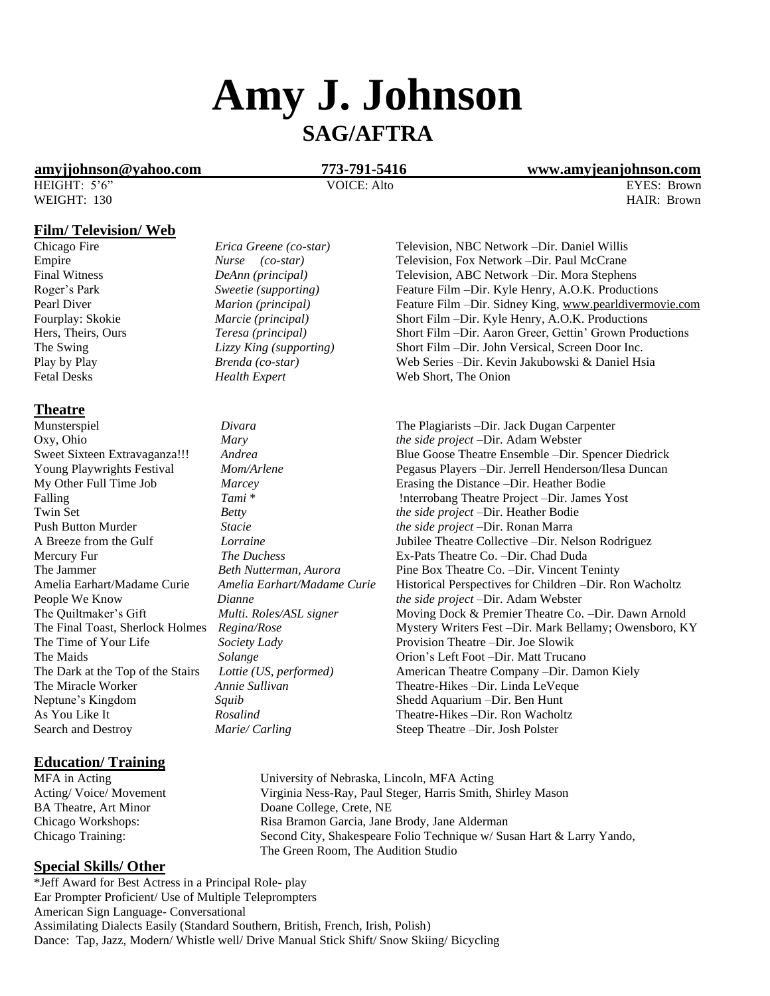# **Amy J. Johnson SAG/AFTRA**

**[amyjjohnson@yahoo.com](mailto:amyjjohnson@yahoo.com) 773-791-5416 www.amyjeanjohnson.com**

HEIGHT: 5'6" VOICE: Alto EYES: Brown WEIGHT: 130 **HAIR: Brown** 

### **Film/ Television/ Web**

**Theatre**

Search and Destroy *Marie/ Carling* Steep Theatre –Dir. Josh Polster

# **Education/ Training**

# **Special Skills/ Other**

\*Jeff Award for Best Actress in a Principal Role- play Ear Prompter Proficient/ Use of Multiple Teleprompters American Sign Language- Conversational Assimilating Dialects Easily (Standard Southern, British, French, Irish, Polish) Dance: Tap, Jazz, Modern/ Whistle well/ Drive Manual Stick Shift/ Snow Skiing/ Bicycling

| Erica Greene (co-star)  |
|-------------------------|
| Nurse (co-star)         |
| DeAnn (principal)       |
| Sweetie (supporting)    |
| Marion (principal)      |
| Marcie (principal)      |
| Teresa (principal)      |
| Lizzy King (supporting) |
| Brenda (co-star)        |
| $H_2$ althermore        |

Push Button Murder *Stacie the side project* –Dir. Ronan Marra The Time of Your Life *Society Lady* Provision Theatre –Dir. Joe Slowik Neptune's Kingdom *Squib* **Shedd Aquarium –Dir. Ben Hunt** Shedd Aquarium –Dir. Ben Hunt As You Like It *Rosalind* Theatre-Hikes –Dir. Ron Wacholtz

Chicago Fire *Erica Greene (co-star)* Television, NBC Network –Dir. Daniel Willis Empire *Nurse (co-star)* Television, Fox Network –Dir. Paul McCrane Final Witness *DeAnn (principal)* Television, ABC Network –Dir. Mora Stephens Roger's Park *Sweetie (supporting)* Feature Film –Dir. Kyle Henry, A.O.K. Productions Pearl Diver *Marion (principal)* Feature Film –Dir. Sidney King[, www.pearldivermovie.com](http://www.pearldivermovie.com/) Fourplay: Skokie *Marcie (principal)* Short Film –Dir. Kyle Henry, A.O.K. Productions Hers, Theirs, Ours *Teresa (principal)* Short Film –Dir. Aaron Greer, Gettin' Grown Productions The Swing *Lizzy King (supporting)* Short Film –Dir. John Versical, Screen Door Inc. Play by Play *Brenda (co-star)* Web Series –Dir. Kevin Jakubowski & Daniel Hsia Fetal Desks *Health Expert* Web Short, The Onion

Munsterspiel *Divara* The Plagiarists –Dir. Jack Dugan Carpenter Oxy, Ohio *Mary the side project* –Dir. Adam Webster Sweet Sixteen Extravaganza!!! *Andrea* Blue Goose Theatre Ensemble –Dir. Spencer Diedrick Young Playwrights Festival *Mom/Arlene* Pegasus Players –Dir. Jerrell Henderson/Ilesa Duncan *My* Other Full Time Job *Marcey* Erasing the Distance –Dir. Heather Bodie Marcey **Example 1** Erasing the Distance –Dir. Heather Bodie Falling *Tami* \* *Tami* \* *Iami neutrobang Theatre Project –Dir. James Yost* Twin Set *Betty the side project* –Dir. Heather Bodie A Breeze from the Gulf *Lorraine* Jubilee Theatre Collective –Dir. Nelson Rodriguez Mercury Fur *The Duchess* Ex-Pats Theatre Co. –Dir. Chad Duda The Jammer *Beth Nutterman, Aurora* Pine Box Theatre Co. –Dir. Vincent Teninty Amelia Earhart/Madame Curie *Amelia Earhart/Madame Curie* Historical Perspectives for Children –Dir. Ron Wacholtz People We Know *Dianne Dianne the side project* –Dir. Adam Webster The Quiltmaker's Gift *Multi. Roles/ASL signer* Moving Dock & Premier Theatre Co. –Dir. Dawn Arnold The Final Toast, Sherlock Holmes *Regina/Rose* Mystery Writers Fest –Dir. Mark Bellamy; Owensboro, KY The Maids **Solange** *Solange* **Solange Orion's Left Foot –Dir. Matt Trucano** The Dark at the Top of the Stairs *Lottie (US, performed)* American Theatre Company –Dir. Damon Kiely The Miracle Worker *Annie Sullivan* Theatre-Hikes –Dir. Linda LeVeque

MFA in Acting University of Nebraska, Lincoln, MFA Acting Acting/ Voice/ Movement Virginia Ness-Ray, Paul Steger, Harris Smith, Shirley Mason BA Theatre, Art Minor Doane College, Crete, NE Chicago Workshops: Risa Bramon Garcia, Jane Brody, Jane Alderman Chicago Training: Second City, Shakespeare Folio Technique w/ Susan Hart & Larry Yando, The Green Room, The Audition Studio